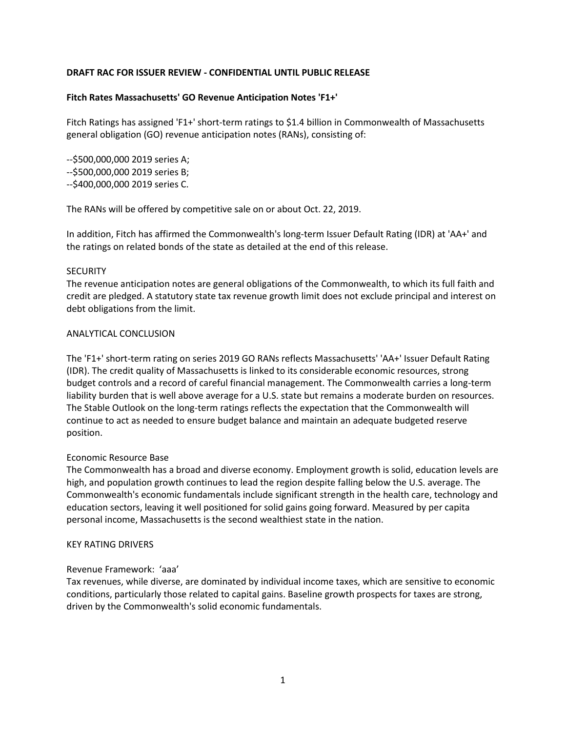## **DRAFT RAC FOR ISSUER REVIEW - CONFIDENTIAL UNTIL PUBLIC RELEASE**

## **Fitch Rates Massachusetts' GO Revenue Anticipation Notes 'F1+'**

Fitch Ratings has assigned 'F1+' short-term ratings to \$1.4 billion in Commonwealth of Massachusetts general obligation (GO) revenue anticipation notes (RANs), consisting of:

--\$500,000,000 2019 series A; --\$500,000,000 2019 series B; --\$400,000,000 2019 series C.

The RANs will be offered by competitive sale on or about Oct. 22, 2019.

In addition, Fitch has affirmed the Commonwealth's long-term Issuer Default Rating (IDR) at 'AA+' and the ratings on related bonds of the state as detailed at the end of this release.

## **SECURITY**

The revenue anticipation notes are general obligations of the Commonwealth, to which its full faith and credit are pledged. A statutory state tax revenue growth limit does not exclude principal and interest on debt obligations from the limit.

#### ANALYTICAL CONCLUSION

The 'F1+' short-term rating on series 2019 GO RANs reflects Massachusetts' 'AA+' Issuer Default Rating (IDR). The credit quality of Massachusetts is linked to its considerable economic resources, strong budget controls and a record of careful financial management. The Commonwealth carries a long-term liability burden that is well above average for a U.S. state but remains a moderate burden on resources. The Stable Outlook on the long-term ratings reflects the expectation that the Commonwealth will continue to act as needed to ensure budget balance and maintain an adequate budgeted reserve position.

#### Economic Resource Base

The Commonwealth has a broad and diverse economy. Employment growth is solid, education levels are high, and population growth continues to lead the region despite falling below the U.S. average. The Commonwealth's economic fundamentals include significant strength in the health care, technology and education sectors, leaving it well positioned for solid gains going forward. Measured by per capita personal income, Massachusetts is the second wealthiest state in the nation.

#### KEY RATING DRIVERS

# Revenue Framework: 'aaa'

Tax revenues, while diverse, are dominated by individual income taxes, which are sensitive to economic conditions, particularly those related to capital gains. Baseline growth prospects for taxes are strong, driven by the Commonwealth's solid economic fundamentals.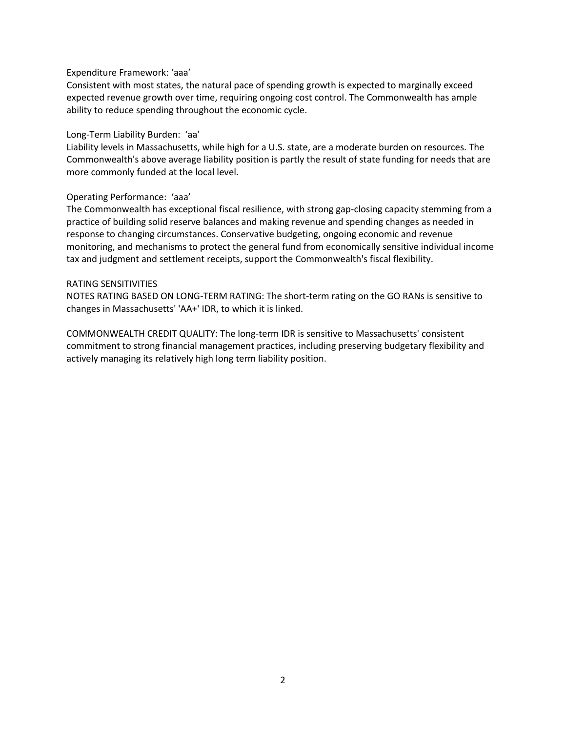#### Expenditure Framework: 'aaa'

Consistent with most states, the natural pace of spending growth is expected to marginally exceed expected revenue growth over time, requiring ongoing cost control. The Commonwealth has ample ability to reduce spending throughout the economic cycle.

## Long-Term Liability Burden: 'aa'

Liability levels in Massachusetts, while high for a U.S. state, are a moderate burden on resources. The Commonwealth's above average liability position is partly the result of state funding for needs that are more commonly funded at the local level.

## Operating Performance: 'aaa'

The Commonwealth has exceptional fiscal resilience, with strong gap-closing capacity stemming from a practice of building solid reserve balances and making revenue and spending changes as needed in response to changing circumstances. Conservative budgeting, ongoing economic and revenue monitoring, and mechanisms to protect the general fund from economically sensitive individual income tax and judgment and settlement receipts, support the Commonwealth's fiscal flexibility.

#### RATING SENSITIVITIES

NOTES RATING BASED ON LONG-TERM RATING: The short-term rating on the GO RANs is sensitive to changes in Massachusetts' 'AA+' IDR, to which it is linked.

COMMONWEALTH CREDIT QUALITY: The long-term IDR is sensitive to Massachusetts' consistent commitment to strong financial management practices, including preserving budgetary flexibility and actively managing its relatively high long term liability position.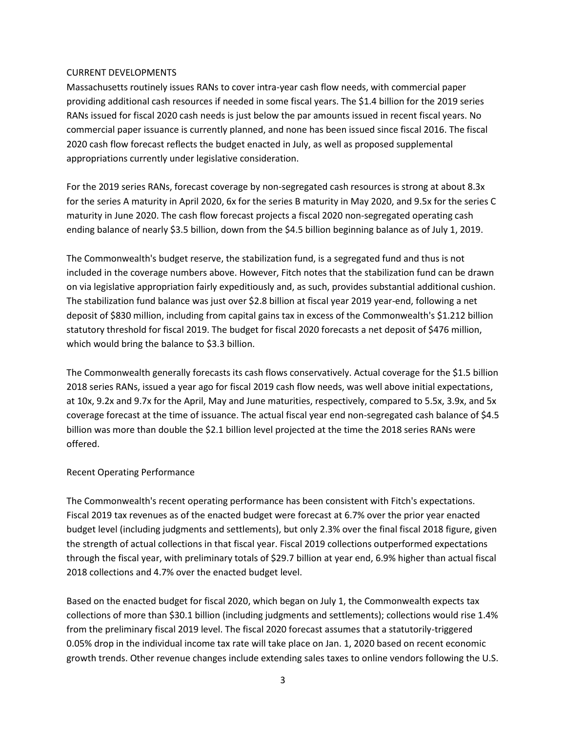## CURRENT DEVELOPMENTS

Massachusetts routinely issues RANs to cover intra-year cash flow needs, with commercial paper providing additional cash resources if needed in some fiscal years. The \$1.4 billion for the 2019 series RANs issued for fiscal 2020 cash needs is just below the par amounts issued in recent fiscal years. No commercial paper issuance is currently planned, and none has been issued since fiscal 2016. The fiscal 2020 cash flow forecast reflects the budget enacted in July, as well as proposed supplemental appropriations currently under legislative consideration.

For the 2019 series RANs, forecast coverage by non-segregated cash resources is strong at about 8.3x for the series A maturity in April 2020, 6x for the series B maturity in May 2020, and 9.5x for the series C maturity in June 2020. The cash flow forecast projects a fiscal 2020 non-segregated operating cash ending balance of nearly \$3.5 billion, down from the \$4.5 billion beginning balance as of July 1, 2019.

The Commonwealth's budget reserve, the stabilization fund, is a segregated fund and thus is not included in the coverage numbers above. However, Fitch notes that the stabilization fund can be drawn on via legislative appropriation fairly expeditiously and, as such, provides substantial additional cushion. The stabilization fund balance was just over \$2.8 billion at fiscal year 2019 year-end, following a net deposit of \$830 million, including from capital gains tax in excess of the Commonwealth's \$1.212 billion statutory threshold for fiscal 2019. The budget for fiscal 2020 forecasts a net deposit of \$476 million, which would bring the balance to \$3.3 billion.

The Commonwealth generally forecasts its cash flows conservatively. Actual coverage for the \$1.5 billion 2018 series RANs, issued a year ago for fiscal 2019 cash flow needs, was well above initial expectations, at 10x, 9.2x and 9.7x for the April, May and June maturities, respectively, compared to 5.5x, 3.9x, and 5x coverage forecast at the time of issuance. The actual fiscal year end non-segregated cash balance of \$4.5 billion was more than double the \$2.1 billion level projected at the time the 2018 series RANs were offered.

# Recent Operating Performance

The Commonwealth's recent operating performance has been consistent with Fitch's expectations. Fiscal 2019 tax revenues as of the enacted budget were forecast at 6.7% over the prior year enacted budget level (including judgments and settlements), but only 2.3% over the final fiscal 2018 figure, given the strength of actual collections in that fiscal year. Fiscal 2019 collections outperformed expectations through the fiscal year, with preliminary totals of \$29.7 billion at year end, 6.9% higher than actual fiscal 2018 collections and 4.7% over the enacted budget level.

Based on the enacted budget for fiscal 2020, which began on July 1, the Commonwealth expects tax collections of more than \$30.1 billion (including judgments and settlements); collections would rise 1.4% from the preliminary fiscal 2019 level. The fiscal 2020 forecast assumes that a statutorily-triggered 0.05% drop in the individual income tax rate will take place on Jan. 1, 2020 based on recent economic growth trends. Other revenue changes include extending sales taxes to online vendors following the U.S.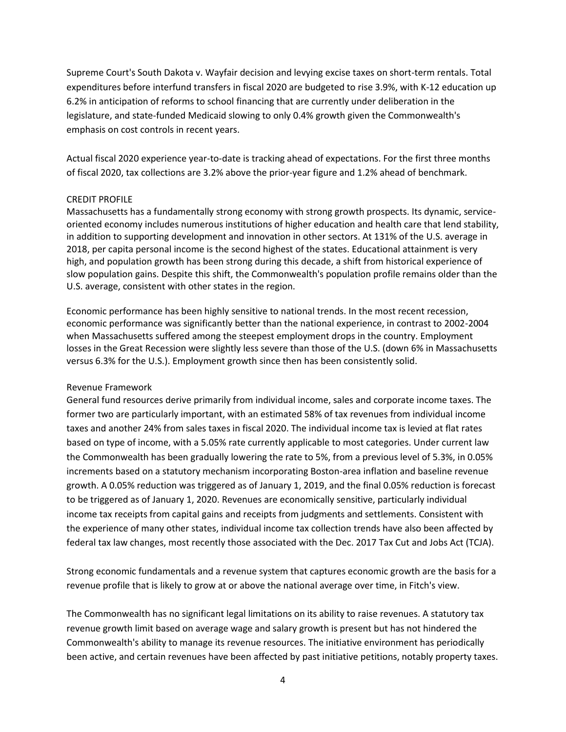Supreme Court's South Dakota v. Wayfair decision and levying excise taxes on short-term rentals. Total expenditures before interfund transfers in fiscal 2020 are budgeted to rise 3.9%, with K-12 education up 6.2% in anticipation of reforms to school financing that are currently under deliberation in the legislature, and state-funded Medicaid slowing to only 0.4% growth given the Commonwealth's emphasis on cost controls in recent years.

Actual fiscal 2020 experience year-to-date is tracking ahead of expectations. For the first three months of fiscal 2020, tax collections are 3.2% above the prior-year figure and 1.2% ahead of benchmark.

## CREDIT PROFILE

Massachusetts has a fundamentally strong economy with strong growth prospects. Its dynamic, serviceoriented economy includes numerous institutions of higher education and health care that lend stability, in addition to supporting development and innovation in other sectors. At 131% of the U.S. average in 2018, per capita personal income is the second highest of the states. Educational attainment is very high, and population growth has been strong during this decade, a shift from historical experience of slow population gains. Despite this shift, the Commonwealth's population profile remains older than the U.S. average, consistent with other states in the region.

Economic performance has been highly sensitive to national trends. In the most recent recession, economic performance was significantly better than the national experience, in contrast to 2002-2004 when Massachusetts suffered among the steepest employment drops in the country. Employment losses in the Great Recession were slightly less severe than those of the U.S. (down 6% in Massachusetts versus 6.3% for the U.S.). Employment growth since then has been consistently solid.

#### Revenue Framework

General fund resources derive primarily from individual income, sales and corporate income taxes. The former two are particularly important, with an estimated 58% of tax revenues from individual income taxes and another 24% from sales taxes in fiscal 2020. The individual income tax is levied at flat rates based on type of income, with a 5.05% rate currently applicable to most categories. Under current law the Commonwealth has been gradually lowering the rate to 5%, from a previous level of 5.3%, in 0.05% increments based on a statutory mechanism incorporating Boston-area inflation and baseline revenue growth. A 0.05% reduction was triggered as of January 1, 2019, and the final 0.05% reduction is forecast to be triggered as of January 1, 2020. Revenues are economically sensitive, particularly individual income tax receipts from capital gains and receipts from judgments and settlements. Consistent with the experience of many other states, individual income tax collection trends have also been affected by federal tax law changes, most recently those associated with the Dec. 2017 Tax Cut and Jobs Act (TCJA).

Strong economic fundamentals and a revenue system that captures economic growth are the basis for a revenue profile that is likely to grow at or above the national average over time, in Fitch's view.

The Commonwealth has no significant legal limitations on its ability to raise revenues. A statutory tax revenue growth limit based on average wage and salary growth is present but has not hindered the Commonwealth's ability to manage its revenue resources. The initiative environment has periodically been active, and certain revenues have been affected by past initiative petitions, notably property taxes.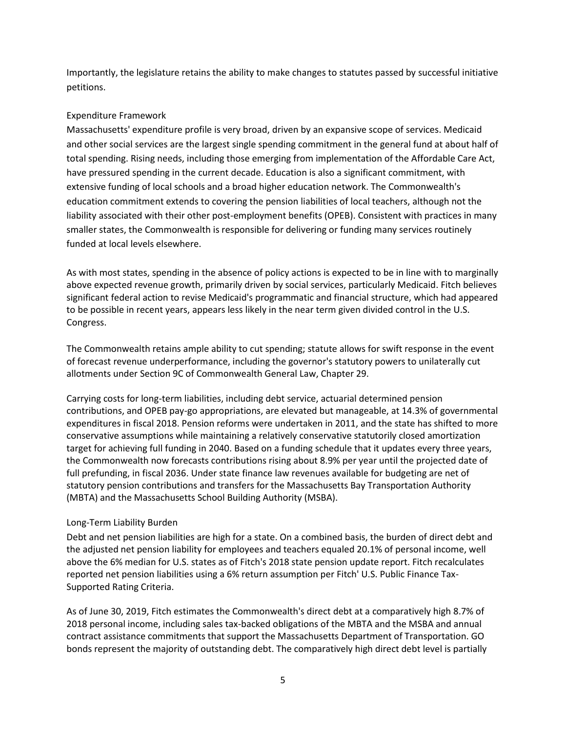Importantly, the legislature retains the ability to make changes to statutes passed by successful initiative petitions.

# Expenditure Framework

Massachusetts' expenditure profile is very broad, driven by an expansive scope of services. Medicaid and other social services are the largest single spending commitment in the general fund at about half of total spending. Rising needs, including those emerging from implementation of the Affordable Care Act, have pressured spending in the current decade. Education is also a significant commitment, with extensive funding of local schools and a broad higher education network. The Commonwealth's education commitment extends to covering the pension liabilities of local teachers, although not the liability associated with their other post-employment benefits (OPEB). Consistent with practices in many smaller states, the Commonwealth is responsible for delivering or funding many services routinely funded at local levels elsewhere.

As with most states, spending in the absence of policy actions is expected to be in line with to marginally above expected revenue growth, primarily driven by social services, particularly Medicaid. Fitch believes significant federal action to revise Medicaid's programmatic and financial structure, which had appeared to be possible in recent years, appears less likely in the near term given divided control in the U.S. Congress.

The Commonwealth retains ample ability to cut spending; statute allows for swift response in the event of forecast revenue underperformance, including the governor's statutory powers to unilaterally cut allotments under Section 9C of Commonwealth General Law, Chapter 29.

Carrying costs for long-term liabilities, including debt service, actuarial determined pension contributions, and OPEB pay-go appropriations, are elevated but manageable, at 14.3% of governmental expenditures in fiscal 2018. Pension reforms were undertaken in 2011, and the state has shifted to more conservative assumptions while maintaining a relatively conservative statutorily closed amortization target for achieving full funding in 2040. Based on a funding schedule that it updates every three years, the Commonwealth now forecasts contributions rising about 8.9% per year until the projected date of full prefunding, in fiscal 2036. Under state finance law revenues available for budgeting are net of statutory pension contributions and transfers for the Massachusetts Bay Transportation Authority (MBTA) and the Massachusetts School Building Authority (MSBA).

# Long-Term Liability Burden

Debt and net pension liabilities are high for a state. On a combined basis, the burden of direct debt and the adjusted net pension liability for employees and teachers equaled 20.1% of personal income, well above the 6% median for U.S. states as of Fitch's 2018 state pension update report. Fitch recalculates reported net pension liabilities using a 6% return assumption per Fitch' U.S. Public Finance Tax-Supported Rating Criteria.

As of June 30, 2019, Fitch estimates the Commonwealth's direct debt at a comparatively high 8.7% of 2018 personal income, including sales tax-backed obligations of the MBTA and the MSBA and annual contract assistance commitments that support the Massachusetts Department of Transportation. GO bonds represent the majority of outstanding debt. The comparatively high direct debt level is partially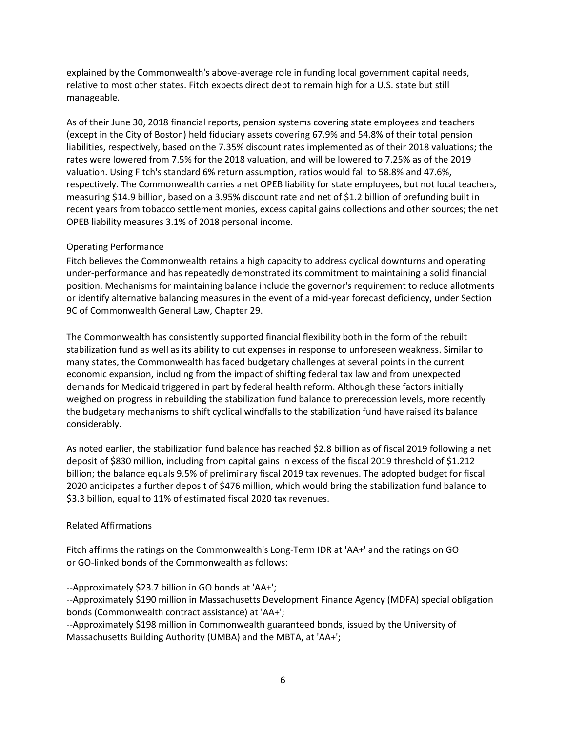explained by the Commonwealth's above-average role in funding local government capital needs, relative to most other states. Fitch expects direct debt to remain high for a U.S. state but still manageable.

As of their June 30, 2018 financial reports, pension systems covering state employees and teachers (except in the City of Boston) held fiduciary assets covering 67.9% and 54.8% of their total pension liabilities, respectively, based on the 7.35% discount rates implemented as of their 2018 valuations; the rates were lowered from 7.5% for the 2018 valuation, and will be lowered to 7.25% as of the 2019 valuation. Using Fitch's standard 6% return assumption, ratios would fall to 58.8% and 47.6%, respectively. The Commonwealth carries a net OPEB liability for state employees, but not local teachers, measuring \$14.9 billion, based on a 3.95% discount rate and net of \$1.2 billion of prefunding built in recent years from tobacco settlement monies, excess capital gains collections and other sources; the net OPEB liability measures 3.1% of 2018 personal income.

# Operating Performance

Fitch believes the Commonwealth retains a high capacity to address cyclical downturns and operating under-performance and has repeatedly demonstrated its commitment to maintaining a solid financial position. Mechanisms for maintaining balance include the governor's requirement to reduce allotments or identify alternative balancing measures in the event of a mid-year forecast deficiency, under Section 9C of Commonwealth General Law, Chapter 29.

The Commonwealth has consistently supported financial flexibility both in the form of the rebuilt stabilization fund as well as its ability to cut expenses in response to unforeseen weakness. Similar to many states, the Commonwealth has faced budgetary challenges at several points in the current economic expansion, including from the impact of shifting federal tax law and from unexpected demands for Medicaid triggered in part by federal health reform. Although these factors initially weighed on progress in rebuilding the stabilization fund balance to prerecession levels, more recently the budgetary mechanisms to shift cyclical windfalls to the stabilization fund have raised its balance considerably.

As noted earlier, the stabilization fund balance has reached \$2.8 billion as of fiscal 2019 following a net deposit of \$830 million, including from capital gains in excess of the fiscal 2019 threshold of \$1.212 billion; the balance equals 9.5% of preliminary fiscal 2019 tax revenues. The adopted budget for fiscal 2020 anticipates a further deposit of \$476 million, which would bring the stabilization fund balance to \$3.3 billion, equal to 11% of estimated fiscal 2020 tax revenues.

# Related Affirmations

Fitch affirms the ratings on the Commonwealth's Long-Term IDR at 'AA+' and the ratings on GO or GO-linked bonds of the Commonwealth as follows:

--Approximately \$23.7 billion in GO bonds at 'AA+';

--Approximately \$190 million in Massachusetts Development Finance Agency (MDFA) special obligation bonds (Commonwealth contract assistance) at 'AA+';

--Approximately \$198 million in Commonwealth guaranteed bonds, issued by the University of Massachusetts Building Authority (UMBA) and the MBTA, at 'AA+';